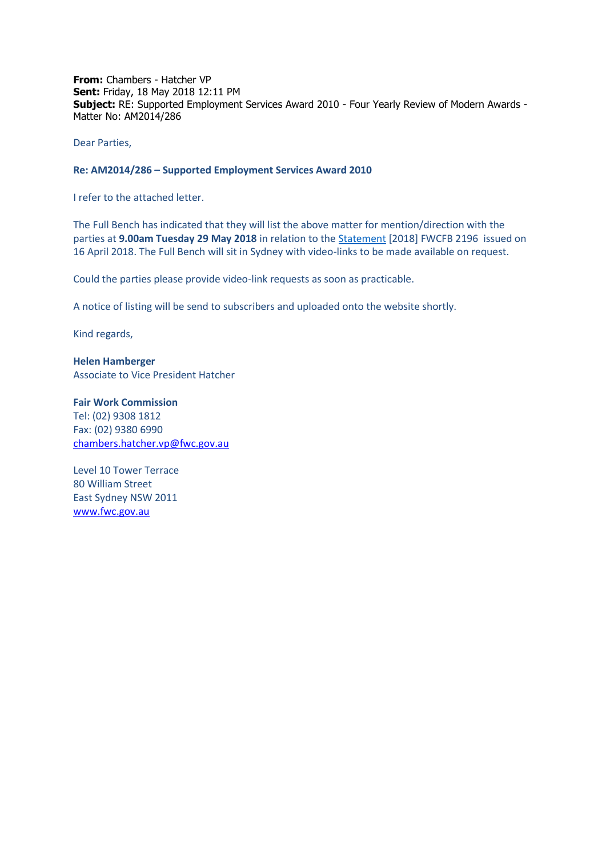**From:** Chambers - Hatcher VP **Sent:** Friday, 18 May 2018 12:11 PM **Subject:** RE: Supported Employment Services Award 2010 - Four Yearly Review of Modern Awards - Matter No: AM2014/286

Dear Parties,

## **Re: AM2014/286 – Supported Employment Services Award 2010**

I refer to the attached letter.

The Full Bench has indicated that they will list the above matter for mention/direction with the parties at **9.00am Tuesday 29 May 2018** in relation to th[e Statement](https://www.fwc.gov.au/documents/decisionssigned/html/2018fwcfb2196.htm) [2018] FWCFB 2196 issued on 16 April 2018. The Full Bench will sit in Sydney with video-links to be made available on request.

Could the parties please provide video-link requests as soon as practicable.

A notice of listing will be send to subscribers and uploaded onto the website shortly.

Kind regards,

**Helen Hamberger** Associate to Vice President Hatcher

**Fair Work Commission**  Tel: (02) 9308 1812 Fax: (02) 9380 6990 [chambers.hatcher.vp@fwc.gov.au](mailto:chambers.hatcher.vp@fwc.gov.au) 

Level 10 Tower Terrace 80 William Street East Sydney NSW 2011 [www.fwc.gov.au](http://www.fwc.gov.au/)